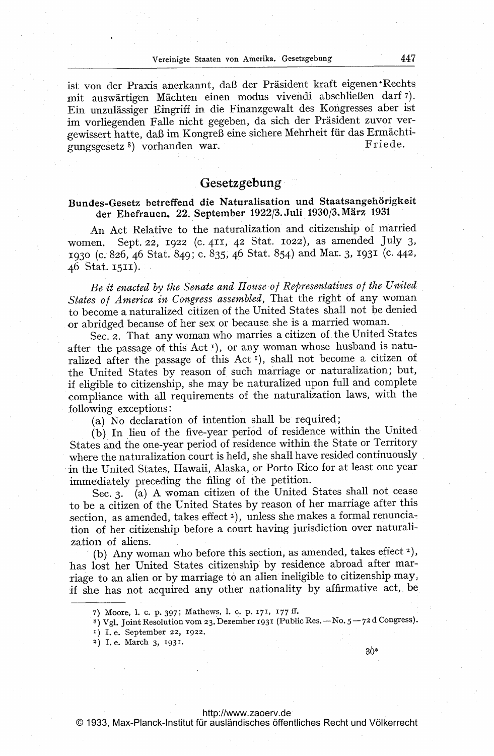ist von der Praxis anerkannt, daß der Präsident kraft eigenen Rechts mit auswärtigen Mächten einen modus vivendi abschließen darf 7). Ein unzulässiger Eingriff in die Finanzgewalt des Kongresses aber ist im vorliegenden Falle nicht gegeben, da sich der Präsident zuvor vergewissert hatte, daß im Kongreß eine sichere Mehrheit für das Ermächti-Friede. gungsgesetz<sup>8</sup>) vorhanden war.

## Gesetzgebung

# Bundes-Gesetz betreffend die Naturalisation und Staatsangehörigkeit der Ehefrauen. 22. September 1922/3. Juli 1930/3. März <sup>1931</sup>

An Act Relative to the naturalization and citizenship of married women. Sept. 22, 1922 (c. 411, 42 Stat. 1022), as amended July 3, 1930 (c. 826, 46 Stat. 849; c. 835, 46 Stat. 854) and Mar. 3, 1931 (c. 442, 46 Stat. 1511).

Be it enacted by the Senate and House of Representatives of the United States of America in Congress assembled, That the right of any woman to become a naturalized citizen of the United States shall not be denied or abridged because of her sex or because. she is a married woman.

See. 2. That any woman who marries <sup>a</sup> citizen of. the United States after the passage of this Act<sup>1</sup>), or any woman whose husband is naturalized after the passage of this Act<sup>r</sup>), shall not become a citizen of the United States by reason of such marriage or naturalization; but, if eligible to citizenship, she may be naturalized upon full and complete ,compliance with all requirements of the naturalization laws, with the following exceptions:

(a) No declaration of intention shall be required;

(b) In lieu of the five-year period of residence within the United States and the one-year period of residence within the State or Territory where the naturalization court is held, she shall have resided continuously in the United States, Hawaii, Alaska, or Porto Rico for at least one year immediately preceding the filing of the petition.

Sec. 3. (a) A woman citizen of the United States shall not cease to be a citizen of the United States by reason of her marriage after this section, as amended, takes effect<sup>2</sup>), unless she makes a formal renunciation of her citizenship before a court having jurisdiction over naturalization of aliens.

(b) Any woman who before this section, as amended, takes effect  $2$ ), has lost her United States citizenship by residence abroad after marriage to an alien or by marriage to an alien ineligible to citizenship may, if she has not acquired any other nationality by affirmative act,. be

36\*

<sup>7)</sup> Moore, 1. C. P. 397; Mathews, 1. c. P. 171, 177 ff.

 $8)$  Vgl. Joint Resolution vom 23. Dezember 1931 (Public Res. - No.  $5 - 72$  d Congress)

<sup>&#</sup>x27;) I. e. September 22, 1922.

<sup>2)</sup> Le. March 3, 1931.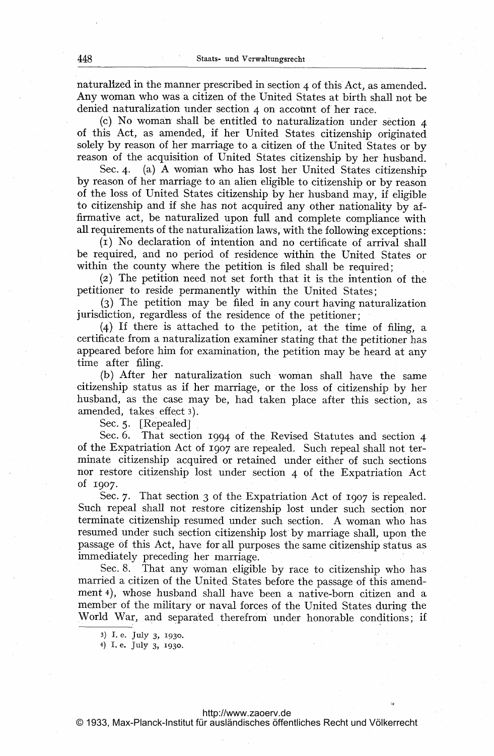naturalized in the manner prescribed in section 4 of this Act, as amended. Any woman who was <sup>a</sup> citizen of the United States at birth shall not be denied naturalization under section 4 on account of her race.

(c) No woman shall be entitled to naturalization under section <sup>4</sup> of this Act, as amended, if her United States citizenship originated solely by reason of her marriage to a citizen of the United States or by reason of the acquisition of United States citizenship by her husband.

Sec. 4. (a) A woman who has lost her United States citizenship by reason of her marriage to an alien eligible to citizenship or by reason of the loss of United States citizenship by her husband may, if eligible to citizenship and if she has not acquired any other nationality by affirmative act, be naturalized upon full and complete compliance with all requirements of the naturalization laws, with the following exceptions:

(i) No declaration of intention and no certificate of arrival shall be required, and no period of residence within the United States or within the county where the petition is filed shall be required;

(2) The petition need, not set forth that it is the intention of the petitioner to reside permanently within the United States;

(3) The petition may be filed in any court having naturalization jurisdiction, regardless of the residence of the petitioner;

(4), If there is attached to the petition, at the time of filing, a certificate from a naturalization examiner stating that the petitioner has appeared before him for examination, the petition may be heard at any time after filing.

(b) After her naturalization such woman shall have the same citizenship status as if her marriage, or the loss of citizenship by her husband, as the case may be, had taken place after this section, as amended, takes effect 3).

Sec. 5. [Repealed]

Sec. 6. That section 1994 of the Revised Statutes and section 4 of the Expatriation Act Of 1907 are repealed. Such repeal shall not terminate citizenship acquired or retained under either of such sections nor restore citizenship lost under section 4 of the Expatriation Act Of 1907.

Sec. 7. That section 3 of the Expatriation Act of 1907 is repealed. Such repeal shall not restore citizenship lost under such section nor terminate citizenship resumed under such section. A woman who has resumed under such section citizenship lost by marriage shall, upon the passage of this Act, have for all purposes the same citizenship status as immediately preceding her marriage.

Sec. 8. That any woman, eligible by race to citizenship who has married <sup>a</sup> citizen of the United, States before the passage of this amendment 4), whose husband shall have been a native-born citizen and a member of the military or naval forces of the United States during the World War, and separated therefrom' under honorable conditions; if

4) 1. e. Ju1Y 3, 1930.

<sup>3)</sup> L e. JU1Y 3, 1930.